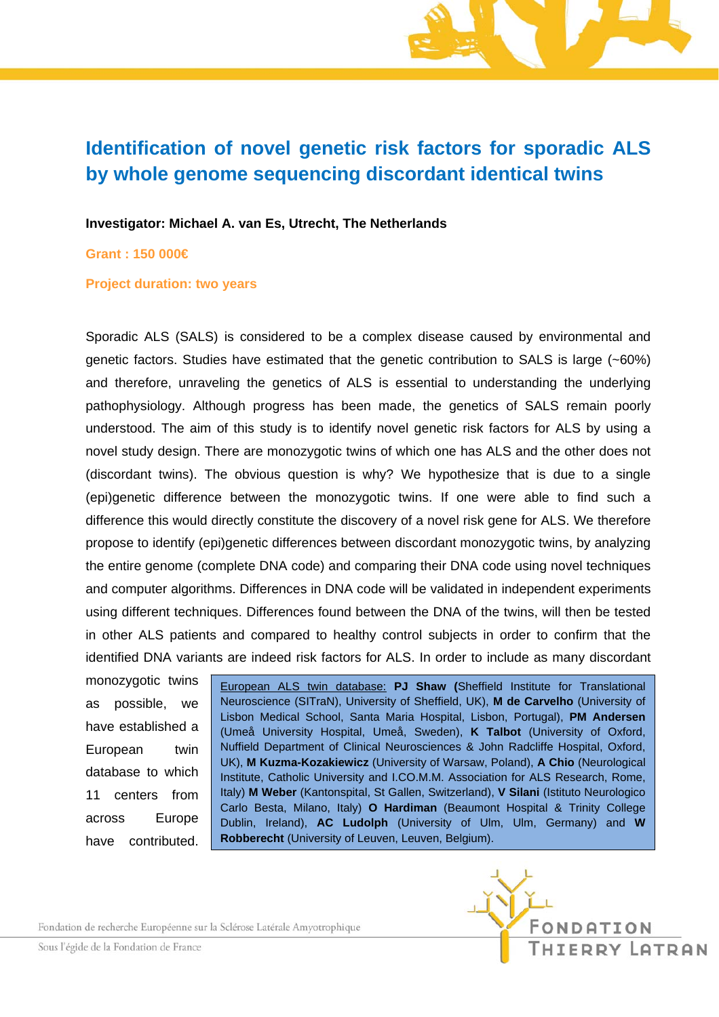## **Identification of novel genetic risk factors for sporadic ALS by whole genome sequencing discordant identical twins**

**Investigator: Michael A. van Es, Utrecht, The Netherlands** 

**Grant : 150 000€** 

**Project duration: two years** 

Sporadic ALS (SALS) is considered to be a complex disease caused by environmental and genetic factors. Studies have estimated that the genetic contribution to SALS is large (~60%) and therefore, unraveling the genetics of ALS is essential to understanding the underlying pathophysiology. Although progress has been made, the genetics of SALS remain poorly understood. The aim of this study is to identify novel genetic risk factors for ALS by using a novel study design. There are monozygotic twins of which one has ALS and the other does not (discordant twins). The obvious question is why? We hypothesize that is due to a single (epi)genetic difference between the monozygotic twins. If one were able to find such a difference this would directly constitute the discovery of a novel risk gene for ALS. We therefore propose to identify (epi)genetic differences between discordant monozygotic twins, by analyzing the entire genome (complete DNA code) and comparing their DNA code using novel techniques and computer algorithms. Differences in DNA code will be validated in independent experiments using different techniques. Differences found between the DNA of the twins, will then be tested in other ALS patients and compared to healthy control subjects in order to confirm that the identified DNA variants are indeed risk factors for ALS. In order to include as many discordant

monozygotic twins as possible, we have established a European twin database to which 11 centers from across Europe have contributed.

European ALS twin database: **PJ Shaw (**Sheffield Institute for Translational Neuroscience (SITraN), University of Sheffield, UK), **M de Carvelho** (University of Lisbon Medical School, Santa Maria Hospital, Lisbon, Portugal), **PM Andersen** (Umeå University Hospital, Umeå, Sweden), **K Talbot** (University of Oxford, Nuffield Department of Clinical Neurosciences & John Radcliffe Hospital, Oxford, UK), **M Kuzma-Kozakiewicz** (University of Warsaw, Poland), **A Chio** (Neurological Institute, Catholic University and I.CO.M.M. Association for ALS Research, Rome, Italy) **M Weber** (Kantonspital, St Gallen, Switzerland), **V Silani** (Istituto Neurologico Carlo Besta, Milano, Italy) **O Hardiman** (Beaumont Hospital & Trinity College Dublin, Ireland), **AC Ludolph** (University of Ulm, Ulm, Germany) and **W Robberecht** (University of Leuven, Leuven, Belgium).

Fondation de recherche Européenne sur la Sclérose Latérale Amyotrophique